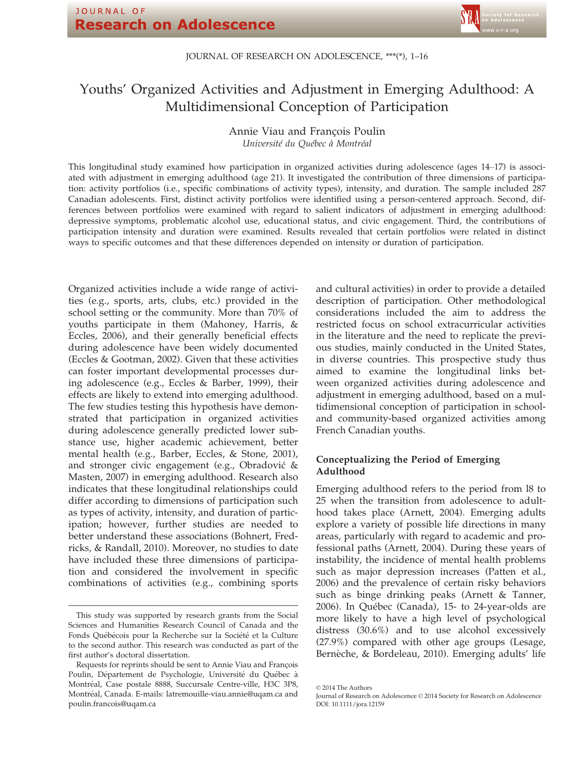#### JOURNAL OF RESEARCH ON ADOLESCENCE, \*\*\*(\*), 1–16

# Youths' Organized Activities and Adjustment in Emerging Adulthood: A Multidimensional Conception of Participation

Annie Viau and Francois Poulin Université du Québec à Montréal

This longitudinal study examined how participation in organized activities during adolescence (ages 14–17) is associated with adjustment in emerging adulthood (age 21). It investigated the contribution of three dimensions of participation: activity portfolios (i.e., specific combinations of activity types), intensity, and duration. The sample included 287 Canadian adolescents. First, distinct activity portfolios were identified using a person-centered approach. Second, differences between portfolios were examined with regard to salient indicators of adjustment in emerging adulthood: depressive symptoms, problematic alcohol use, educational status, and civic engagement. Third, the contributions of participation intensity and duration were examined. Results revealed that certain portfolios were related in distinct ways to specific outcomes and that these differences depended on intensity or duration of participation.

Organized activities include a wide range of activities (e.g., sports, arts, clubs, etc.) provided in the school setting or the community. More than 70% of youths participate in them (Mahoney, Harris, & Eccles, 2006), and their generally beneficial effects during adolescence have been widely documented (Eccles & Gootman, 2002). Given that these activities can foster important developmental processes during adolescence (e.g., Eccles & Barber, 1999), their effects are likely to extend into emerging adulthood. The few studies testing this hypothesis have demonstrated that participation in organized activities during adolescence generally predicted lower substance use, higher academic achievement, better mental health (e.g., Barber, Eccles, & Stone, 2001), and stronger civic engagement (e.g., Obradovic & Masten, 2007) in emerging adulthood. Research also indicates that these longitudinal relationships could differ according to dimensions of participation such as types of activity, intensity, and duration of participation; however, further studies are needed to better understand these associations (Bohnert, Fredricks, & Randall, 2010). Moreover, no studies to date have included these three dimensions of participation and considered the involvement in specific combinations of activities (e.g., combining sports

and cultural activities) in order to provide a detailed description of participation. Other methodological considerations included the aim to address the restricted focus on school extracurricular activities in the literature and the need to replicate the previous studies, mainly conducted in the United States, in diverse countries. This prospective study thus aimed to examine the longitudinal links between organized activities during adolescence and adjustment in emerging adulthood, based on a multidimensional conception of participation in schooland community-based organized activities among French Canadian youths.

# Conceptualizing the Period of Emerging Adulthood

Emerging adulthood refers to the period from l8 to 25 when the transition from adolescence to adulthood takes place (Arnett, 2004). Emerging adults explore a variety of possible life directions in many areas, particularly with regard to academic and professional paths (Arnett, 2004). During these years of instability, the incidence of mental health problems such as major depression increases (Patten et al., 2006) and the prevalence of certain risky behaviors such as binge drinking peaks (Arnett & Tanner, 2006). In Quebec (Canada), 15- to 24-year-olds are more likely to have a high level of psychological distress (30.6%) and to use alcohol excessively (27.9%) compared with other age groups (Lesage, Bernèche, & Bordeleau, 2010). Emerging adults' life

This study was supported by research grants from the Social Sciences and Humanities Research Council of Canada and the Fonds Québécois pour la Recherche sur la Société et la Culture to the second author. This research was conducted as part of the first author's doctoral dissertation.

Requests for reprints should be sent to Annie Viau and Francois Poulin, Département de Psychologie, Université du Québec à Montréal, Case postale 8888, Succursale Centre-ville, H3C 3P8, Montreal, Canada. E-mails: latremouille-viau.annie@uqam.ca and poulin.francois@uqam.ca

<sup>©</sup> 2014 The Authors

Journal of Research on Adolescence © 2014 Society for Research on Adolescence DOI: 10.1111/jora.12159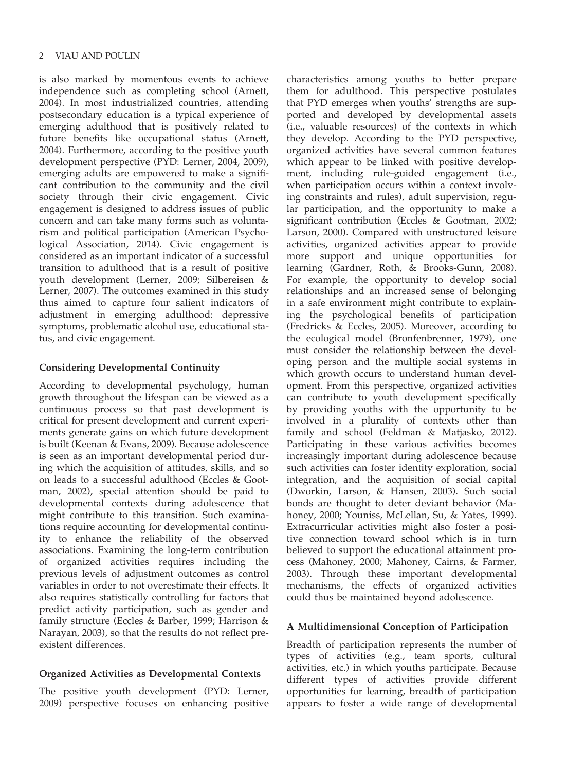is also marked by momentous events to achieve independence such as completing school (Arnett, 2004). In most industrialized countries, attending postsecondary education is a typical experience of emerging adulthood that is positively related to future benefits like occupational status (Arnett, 2004). Furthermore, according to the positive youth development perspective (PYD: Lerner, 2004, 2009), emerging adults are empowered to make a significant contribution to the community and the civil society through their civic engagement. Civic engagement is designed to address issues of public concern and can take many forms such as voluntarism and political participation (American Psychological Association, 2014). Civic engagement is considered as an important indicator of a successful transition to adulthood that is a result of positive youth development (Lerner, 2009; Silbereisen & Lerner, 2007). The outcomes examined in this study thus aimed to capture four salient indicators of adjustment in emerging adulthood: depressive symptoms, problematic alcohol use, educational status, and civic engagement.

# Considering Developmental Continuity

According to developmental psychology, human growth throughout the lifespan can be viewed as a continuous process so that past development is critical for present development and current experiments generate gains on which future development is built (Keenan & Evans, 2009). Because adolescence is seen as an important developmental period during which the acquisition of attitudes, skills, and so on leads to a successful adulthood (Eccles & Gootman, 2002), special attention should be paid to developmental contexts during adolescence that might contribute to this transition. Such examinations require accounting for developmental continuity to enhance the reliability of the observed associations. Examining the long-term contribution of organized activities requires including the previous levels of adjustment outcomes as control variables in order to not overestimate their effects. It also requires statistically controlling for factors that predict activity participation, such as gender and family structure (Eccles & Barber, 1999; Harrison & Narayan, 2003), so that the results do not reflect preexistent differences.

# Organized Activities as Developmental Contexts

The positive youth development (PYD: Lerner, 2009) perspective focuses on enhancing positive characteristics among youths to better prepare them for adulthood. This perspective postulates that PYD emerges when youths' strengths are supported and developed by developmental assets (i.e., valuable resources) of the contexts in which they develop. According to the PYD perspective, organized activities have several common features which appear to be linked with positive development, including rule-guided engagement (i.e., when participation occurs within a context involving constraints and rules), adult supervision, regular participation, and the opportunity to make a significant contribution (Eccles & Gootman, 2002; Larson, 2000). Compared with unstructured leisure activities, organized activities appear to provide more support and unique opportunities for learning (Gardner, Roth, & Brooks-Gunn, 2008). For example, the opportunity to develop social relationships and an increased sense of belonging in a safe environment might contribute to explaining the psychological benefits of participation (Fredricks & Eccles, 2005). Moreover, according to the ecological model (Bronfenbrenner, 1979), one must consider the relationship between the developing person and the multiple social systems in which growth occurs to understand human development. From this perspective, organized activities can contribute to youth development specifically by providing youths with the opportunity to be involved in a plurality of contexts other than family and school (Feldman & Matjasko, 2012). Participating in these various activities becomes increasingly important during adolescence because such activities can foster identity exploration, social integration, and the acquisition of social capital (Dworkin, Larson, & Hansen, 2003). Such social bonds are thought to deter deviant behavior (Mahoney, 2000; Youniss, McLellan, Su, & Yates, 1999). Extracurricular activities might also foster a positive connection toward school which is in turn believed to support the educational attainment process (Mahoney, 2000; Mahoney, Cairns, & Farmer, 2003). Through these important developmental mechanisms, the effects of organized activities could thus be maintained beyond adolescence.

# A Multidimensional Conception of Participation

Breadth of participation represents the number of types of activities (e.g., team sports, cultural activities, etc.) in which youths participate. Because different types of activities provide different opportunities for learning, breadth of participation appears to foster a wide range of developmental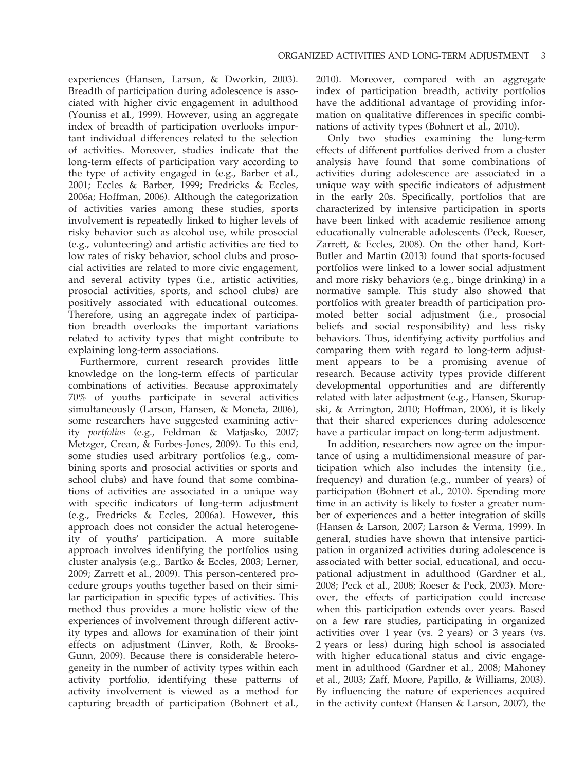experiences (Hansen, Larson, & Dworkin, 2003). Breadth of participation during adolescence is associated with higher civic engagement in adulthood (Youniss et al., 1999). However, using an aggregate index of breadth of participation overlooks important individual differences related to the selection of activities. Moreover, studies indicate that the long-term effects of participation vary according to the type of activity engaged in (e.g., Barber et al., 2001; Eccles & Barber, 1999; Fredricks & Eccles, 2006a; Hoffman, 2006). Although the categorization of activities varies among these studies, sports involvement is repeatedly linked to higher levels of risky behavior such as alcohol use, while prosocial (e.g., volunteering) and artistic activities are tied to low rates of risky behavior, school clubs and prosocial activities are related to more civic engagement, and several activity types (i.e., artistic activities, prosocial activities, sports, and school clubs) are positively associated with educational outcomes. Therefore, using an aggregate index of participation breadth overlooks the important variations related to activity types that might contribute to explaining long-term associations.

Furthermore, current research provides little knowledge on the long-term effects of particular combinations of activities. Because approximately 70% of youths participate in several activities simultaneously (Larson, Hansen, & Moneta, 2006), some researchers have suggested examining activity portfolios (e.g., Feldman & Matjasko, 2007; Metzger, Crean, & Forbes-Jones, 2009). To this end, some studies used arbitrary portfolios (e.g., combining sports and prosocial activities or sports and school clubs) and have found that some combinations of activities are associated in a unique way with specific indicators of long-term adjustment (e.g., Fredricks & Eccles, 2006a). However, this approach does not consider the actual heterogeneity of youths' participation. A more suitable approach involves identifying the portfolios using cluster analysis (e.g., Bartko & Eccles, 2003; Lerner, 2009; Zarrett et al., 2009). This person-centered procedure groups youths together based on their similar participation in specific types of activities. This method thus provides a more holistic view of the experiences of involvement through different activity types and allows for examination of their joint effects on adjustment (Linver, Roth, & Brooks-Gunn, 2009). Because there is considerable heterogeneity in the number of activity types within each activity portfolio, identifying these patterns of activity involvement is viewed as a method for capturing breadth of participation (Bohnert et al.,

2010). Moreover, compared with an aggregate index of participation breadth, activity portfolios have the additional advantage of providing information on qualitative differences in specific combinations of activity types (Bohnert et al., 2010).

Only two studies examining the long-term effects of different portfolios derived from a cluster analysis have found that some combinations of activities during adolescence are associated in a unique way with specific indicators of adjustment in the early 20s. Specifically, portfolios that are characterized by intensive participation in sports have been linked with academic resilience among educationally vulnerable adolescents (Peck, Roeser, Zarrett, & Eccles, 2008). On the other hand, Kort-Butler and Martin (2013) found that sports-focused portfolios were linked to a lower social adjustment and more risky behaviors (e.g., binge drinking) in a normative sample. This study also showed that portfolios with greater breadth of participation promoted better social adjustment (i.e., prosocial beliefs and social responsibility) and less risky behaviors. Thus, identifying activity portfolios and comparing them with regard to long-term adjustment appears to be a promising avenue of research. Because activity types provide different developmental opportunities and are differently related with later adjustment (e.g., Hansen, Skorupski, & Arrington, 2010; Hoffman, 2006), it is likely that their shared experiences during adolescence have a particular impact on long-term adjustment.

In addition, researchers now agree on the importance of using a multidimensional measure of participation which also includes the intensity (i.e., frequency) and duration (e.g., number of years) of participation (Bohnert et al., 2010). Spending more time in an activity is likely to foster a greater number of experiences and a better integration of skills (Hansen & Larson, 2007; Larson & Verma, 1999). In general, studies have shown that intensive participation in organized activities during adolescence is associated with better social, educational, and occupational adjustment in adulthood (Gardner et al., 2008; Peck et al., 2008; Roeser & Peck, 2003). Moreover, the effects of participation could increase when this participation extends over years. Based on a few rare studies, participating in organized activities over 1 year (vs. 2 years) or 3 years (vs. 2 years or less) during high school is associated with higher educational status and civic engagement in adulthood (Gardner et al., 2008; Mahoney et al., 2003; Zaff, Moore, Papillo, & Williams, 2003). By influencing the nature of experiences acquired in the activity context (Hansen & Larson, 2007), the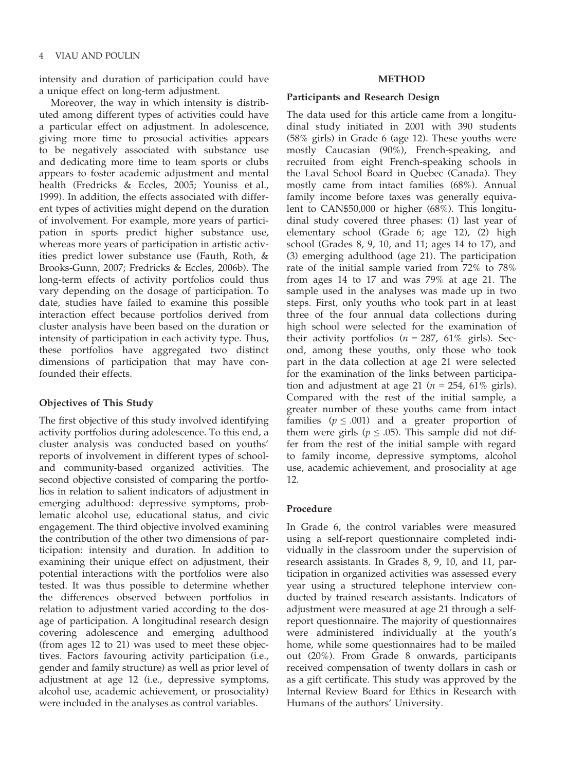intensity and duration of participation could have a unique effect on long-term adjustment.

Moreover, the way in which intensity is distributed among different types of activities could have a particular effect on adjustment. In adolescence, giving more time to prosocial activities appears to be negatively associated with substance use and dedicating more time to team sports or clubs appears to foster academic adjustment and mental health (Fredricks & Eccles, 2005; Youniss et al., 1999). In addition, the effects associated with different types of activities might depend on the duration of involvement. For example, more years of participation in sports predict higher substance use, whereas more years of participation in artistic activities predict lower substance use (Fauth, Roth, & Brooks-Gunn, 2007; Fredricks & Eccles, 2006b). The long-term effects of activity portfolios could thus vary depending on the dosage of participation. To date, studies have failed to examine this possible interaction effect because portfolios derived from cluster analysis have been based on the duration or intensity of participation in each activity type. Thus, these portfolios have aggregated two distinct dimensions of participation that may have confounded their effects.

## Objectives of This Study

The first objective of this study involved identifying activity portfolios during adolescence. To this end, a cluster analysis was conducted based on youths' reports of involvement in different types of schooland community-based organized activities. The second objective consisted of comparing the portfolios in relation to salient indicators of adjustment in emerging adulthood: depressive symptoms, problematic alcohol use, educational status, and civic engagement. The third objective involved examining the contribution of the other two dimensions of participation: intensity and duration. In addition to examining their unique effect on adjustment, their potential interactions with the portfolios were also tested. It was thus possible to determine whether the differences observed between portfolios in relation to adjustment varied according to the dosage of participation. A longitudinal research design covering adolescence and emerging adulthood (from ages 12 to 21) was used to meet these objectives. Factors favouring activity participation (i.e., gender and family structure) as well as prior level of adjustment at age 12 (i.e., depressive symptoms, alcohol use, academic achievement, or prosociality) were included in the analyses as control variables.

## METHOD

#### Participants and Research Design

The data used for this article came from a longitudinal study initiated in 2001 with 390 students (58% girls) in Grade 6 (age 12). These youths were mostly Caucasian (90%), French-speaking, and recruited from eight French-speaking schools in the Laval School Board in Quebec (Canada). They mostly came from intact families (68%). Annual family income before taxes was generally equivalent to CAN\$50,000 or higher (68%). This longitudinal study covered three phases: (1) last year of elementary school (Grade 6; age 12), (2) high school (Grades 8, 9, 10, and 11; ages 14 to 17), and (3) emerging adulthood (age 21). The participation rate of the initial sample varied from 72% to 78% from ages 14 to 17 and was 79% at age 21. The sample used in the analyses was made up in two steps. First, only youths who took part in at least three of the four annual data collections during high school were selected for the examination of their activity portfolios ( $n = 287$ , 61% girls). Second, among these youths, only those who took part in the data collection at age 21 were selected for the examination of the links between participation and adjustment at age 21 ( $n = 254$ , 61% girls). Compared with the rest of the initial sample, a greater number of these youths came from intact families ( $p \leq .001$ ) and a greater proportion of them were girls ( $p \leq .05$ ). This sample did not differ from the rest of the initial sample with regard to family income, depressive symptoms, alcohol use, academic achievement, and prosociality at age 12.

# Procedure

In Grade 6, the control variables were measured using a self-report questionnaire completed individually in the classroom under the supervision of research assistants. In Grades 8, 9, 10, and 11, participation in organized activities was assessed every year using a structured telephone interview conducted by trained research assistants. Indicators of adjustment were measured at age 21 through a selfreport questionnaire. The majority of questionnaires were administered individually at the youth's home, while some questionnaires had to be mailed out (20%). From Grade 8 onwards, participants received compensation of twenty dollars in cash or as a gift certificate. This study was approved by the Internal Review Board for Ethics in Research with Humans of the authors' University.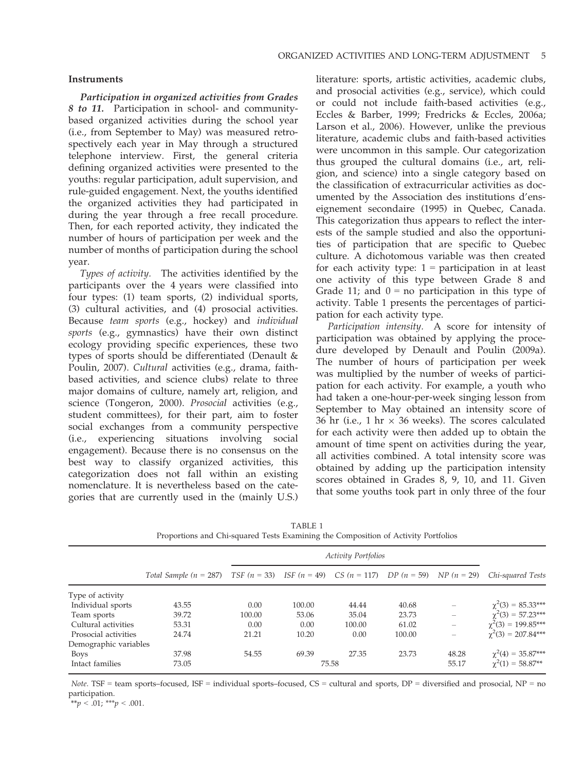## Instruments

Participation in organized activities from Grades 8 to 11. Participation in school- and communitybased organized activities during the school year (i.e., from September to May) was measured retrospectively each year in May through a structured telephone interview. First, the general criteria defining organized activities were presented to the youths: regular participation, adult supervision, and rule-guided engagement. Next, the youths identified the organized activities they had participated in during the year through a free recall procedure. Then, for each reported activity, they indicated the number of hours of participation per week and the number of months of participation during the school year.

Types of activity. The activities identified by the participants over the 4 years were classified into four types: (1) team sports, (2) individual sports, (3) cultural activities, and (4) prosocial activities. Because team sports (e.g., hockey) and individual sports (e.g., gymnastics) have their own distinct ecology providing specific experiences, these two types of sports should be differentiated (Denault & Poulin, 2007). Cultural activities (e.g., drama, faithbased activities, and science clubs) relate to three major domains of culture, namely art, religion, and science (Tongeron, 2000). Prosocial activities (e.g., student committees), for their part, aim to foster social exchanges from a community perspective (i.e., experiencing situations involving social engagement). Because there is no consensus on the best way to classify organized activities, this categorization does not fall within an existing nomenclature. It is nevertheless based on the categories that are currently used in the (mainly U.S.)

literature: sports, artistic activities, academic clubs, and prosocial activities (e.g., service), which could or could not include faith-based activities (e.g., Eccles & Barber, 1999; Fredricks & Eccles, 2006a; Larson et al., 2006). However, unlike the previous literature, academic clubs and faith-based activities were uncommon in this sample. Our categorization thus grouped the cultural domains (i.e., art, religion, and science) into a single category based on the classification of extracurricular activities as documented by the Association des institutions d'enseignement secondaire (1995) in Quebec, Canada. This categorization thus appears to reflect the interests of the sample studied and also the opportunities of participation that are specific to Quebec culture. A dichotomous variable was then created for each activity type:  $1 =$  participation in at least one activity of this type between Grade 8 and Grade 11; and  $0 = no$  participation in this type of activity. Table 1 presents the percentages of participation for each activity type.

Participation intensity. A score for intensity of participation was obtained by applying the procedure developed by Denault and Poulin (2009a). The number of hours of participation per week was multiplied by the number of weeks of participation for each activity. For example, a youth who had taken a one-hour-per-week singing lesson from September to May obtained an intensity score of 36 hr (i.e., 1 hr  $\times$  36 weeks). The scores calculated for each activity were then added up to obtain the amount of time spent on activities during the year, all activities combined. A total intensity score was obtained by adding up the participation intensity scores obtained in Grades 8, 9, 10, and 11. Given that some youths took part in only three of the four

|                       |                                                                                                                     |        |        | <b>Activity Portfolios</b> |        |                          |                         |
|-----------------------|---------------------------------------------------------------------------------------------------------------------|--------|--------|----------------------------|--------|--------------------------|-------------------------|
|                       | Total Sample $(n = 287)$ TSF $(n = 33)$ ISF $(n = 49)$ CS $(n = 117)$ DP $(n = 59)$ NP $(n = 29)$ Chi-squared Tests |        |        |                            |        |                          |                         |
| Type of activity      |                                                                                                                     |        |        |                            |        |                          |                         |
| Individual sports     | 43.55                                                                                                               | 0.00   | 100.00 | 44.44                      | 40.68  |                          | $\chi^2(3) = 85.33***$  |
| Team sports           | 39.72                                                                                                               | 100.00 | 53.06  | 35.04                      | 23.73  |                          | $\chi^2(3) = 57.23***$  |
| Cultural activities   | 53.31                                                                                                               | 0.00   | 0.00   | 100.00                     | 61.02  | $\overline{\phantom{m}}$ | $\chi^2(3) = 199.85***$ |
| Prosocial activities  | 24.74                                                                                                               | 21.21  | 10.20  | 0.00                       | 100.00 |                          | $\chi^2(3) = 207.84***$ |
| Demographic variables |                                                                                                                     |        |        |                            |        |                          |                         |
| <b>Boys</b>           | 37.98                                                                                                               | 54.55  | 69.39  | 27.35                      | 23.73  | 48.28                    | $\chi^2(4) = 35.87***$  |
| Intact families       | 73.05                                                                                                               |        |        | 75.58                      |        | 55.17                    | $\chi^2(1) = 58.87**$   |

TABLE 1 Proportions and Chi-squared Tests Examining the Composition of Activity Portfolios

Note. TSF = team sports–focused, ISF = individual sports–focused, CS = cultural and sports, DP = diversified and prosocial, NP = no participation.

\*\*p < .01; \*\*\*p < .001.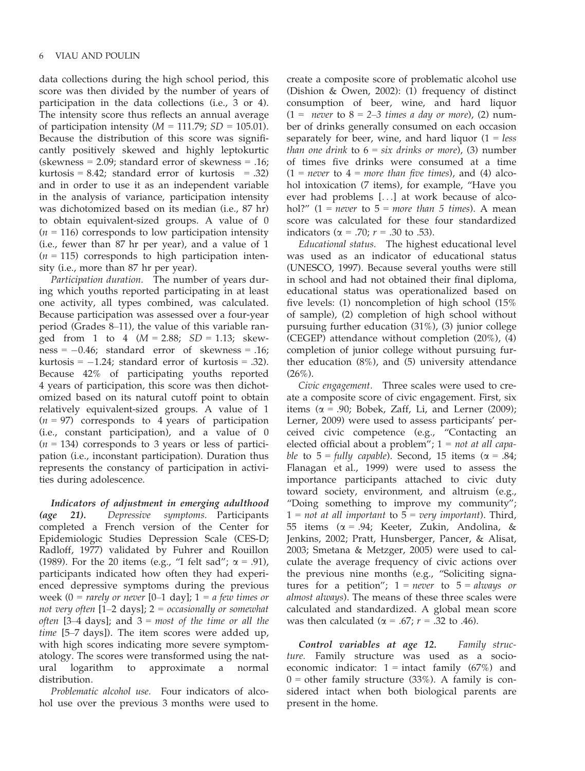data collections during the high school period, this score was then divided by the number of years of participation in the data collections (i.e., 3 or 4). The intensity score thus reflects an annual average of participation intensity ( $M = 111.79$ ;  $SD = 105.01$ ). Because the distribution of this score was significantly positively skewed and highly leptokurtic (skewness  $= 2.09$ ; standard error of skewness  $= .16$ ; kurtosis =  $8.42$ ; standard error of kurtosis = .32) and in order to use it as an independent variable in the analysis of variance, participation intensity was dichotomized based on its median (i.e., 87 hr) to obtain equivalent-sized groups. A value of 0  $(n = 116)$  corresponds to low participation intensity (i.e., fewer than 87 hr per year), and a value of 1  $(n = 115)$  corresponds to high participation intensity (i.e., more than 87 hr per year).

Participation duration. The number of years during which youths reported participating in at least one activity, all types combined, was calculated. Because participation was assessed over a four-year period (Grades 8–11), the value of this variable ranged from 1 to 4  $(M = 2.88; SD = 1.13; skew$  $ness = -0.46$ ; standard error of skewness = .16; kurtosis  $= -1.24$ ; standard error of kurtosis  $= .32$ ). Because 42% of participating youths reported 4 years of participation, this score was then dichotomized based on its natural cutoff point to obtain relatively equivalent-sized groups. A value of 1  $(n = 97)$  corresponds to 4 years of participation (i.e., constant participation), and a value of 0  $(n = 134)$  corresponds to 3 years or less of participation (i.e., inconstant participation). Duration thus represents the constancy of participation in activities during adolescence.

Indicators of adjustment in emerging adulthood (age 21). Depressive symptoms. Participants completed a French version of the Center for Epidemiologic Studies Depression Scale (CES-D; Radloff, 1977) validated by Fuhrer and Rouillon (1989). For the 20 items (e.g., "I felt sad";  $\alpha = .91$ ), participants indicated how often they had experienced depressive symptoms during the previous week (0 = rarely or never [0–1 day];  $1 = a$  few times or not very often  $[1-2 \text{ days}]; 2 = \text{occasionally or somewhat}$ often [3–4 days]; and  $3 = most$  of the time or all the time [5-7 days]). The item scores were added up, with high scores indicating more severe symptomatology. The scores were transformed using the natural logarithm to approximate a normal distribution.

Problematic alcohol use. Four indicators of alcohol use over the previous 3 months were used to create a composite score of problematic alcohol use (Dishion & Owen, 2002): (1) frequency of distinct consumption of beer, wine, and hard liquor  $(1 =$  never to  $8 = 2-3$  times a day or more), (2) number of drinks generally consumed on each occasion separately for beer, wine, and hard liquor  $(1 = less$ than one drink to  $6 = \text{s}$ ix drinks or more), (3) number of times five drinks were consumed at a time  $(1 = never to 4 = more than five times)$ , and (4) alcohol intoxication (7 items), for example, "Have you ever had problems [...] at work because of alcohol?" (1 = never to  $5 = more than 5 times$ ). A mean score was calculated for these four standardized indicators ( $\alpha = .70; r = .30$  to .53).

Educational status. The highest educational level was used as an indicator of educational status (UNESCO, 1997). Because several youths were still in school and had not obtained their final diploma, educational status was operationalized based on five levels: (1) noncompletion of high school (15% of sample), (2) completion of high school without pursuing further education (31%), (3) junior college (CEGEP) attendance without completion (20%), (4) completion of junior college without pursuing further education (8%), and (5) university attendance  $(26\%)$ .

Civic engagement. Three scales were used to create a composite score of civic engagement. First, six items ( $\alpha$  = .90; Bobek, Zaff, Li, and Lerner (2009); Lerner, 2009) were used to assess participants' perceived civic competence (e.g., "Contacting an elected official about a problem";  $1 = not$  at all capable to  $5 = \frac{\text{fully capable}}{\text{Second, 15 items}}$  ( $\alpha = .84$ ; Flanagan et al., 1999) were used to assess the importance participants attached to civic duty toward society, environment, and altruism (e.g., "Doing something to improve my community";  $1 = not$  at all important to  $5 = very$  important). Third, 55 items ( $\alpha$  = .94; Keeter, Zukin, Andolina, & Jenkins, 2002; Pratt, Hunsberger, Pancer, & Alisat, 2003; Smetana & Metzger, 2005) were used to calculate the average frequency of civic actions over the previous nine months (e.g., "Soliciting signatures for a petition";  $1 = never$  to  $5 = always$  or almost always). The means of these three scales were calculated and standardized. A global mean score was then calculated ( $\alpha$  = .67;  $r$  = .32 to .46).

Control variables at age 12. Family structure. Family structure was used as a socioeconomic indicator:  $1 = \text{intact family } (67\%)$  and  $0 =$  other family structure (33%). A family is considered intact when both biological parents are present in the home.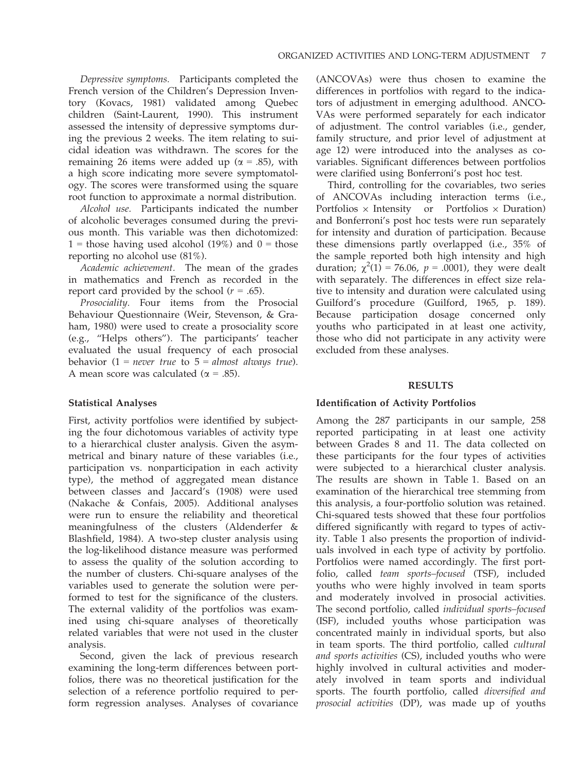Depressive symptoms. Participants completed the French version of the Children's Depression Inventory (Kovacs, 1981) validated among Quebec children (Saint-Laurent, 1990). This instrument assessed the intensity of depressive symptoms during the previous 2 weeks. The item relating to suicidal ideation was withdrawn. The scores for the remaining 26 items were added up ( $\alpha$  = .85), with a high score indicating more severe symptomatology. The scores were transformed using the square root function to approximate a normal distribution.

Alcohol use. Participants indicated the number of alcoholic beverages consumed during the previous month. This variable was then dichotomized: 1 = those having used alcohol (19%) and  $0 =$  those reporting no alcohol use (81%).

Academic achievement. The mean of the grades in mathematics and French as recorded in the report card provided by the school ( $r = .65$ ).

Prosociality. Four items from the Prosocial Behaviour Questionnaire (Weir, Stevenson, & Graham, 1980) were used to create a prosociality score (e.g., "Helps others"). The participants' teacher evaluated the usual frequency of each prosocial behavior  $(1 = never true to 5 = almost always true).$ A mean score was calculated ( $\alpha = .85$ ).

## Statistical Analyses

First, activity portfolios were identified by subjecting the four dichotomous variables of activity type to a hierarchical cluster analysis. Given the asymmetrical and binary nature of these variables (i.e., participation vs. nonparticipation in each activity type), the method of aggregated mean distance between classes and Jaccard's (1908) were used (Nakache & Confais, 2005). Additional analyses were run to ensure the reliability and theoretical meaningfulness of the clusters (Aldenderfer & Blashfield, 1984). A two-step cluster analysis using the log-likelihood distance measure was performed to assess the quality of the solution according to the number of clusters. Chi-square analyses of the variables used to generate the solution were performed to test for the significance of the clusters. The external validity of the portfolios was examined using chi-square analyses of theoretically related variables that were not used in the cluster analysis.

Second, given the lack of previous research examining the long-term differences between portfolios, there was no theoretical justification for the selection of a reference portfolio required to perform regression analyses. Analyses of covariance

(ANCOVAs) were thus chosen to examine the differences in portfolios with regard to the indicators of adjustment in emerging adulthood. ANCO-VAs were performed separately for each indicator of adjustment. The control variables (i.e., gender, family structure, and prior level of adjustment at age 12) were introduced into the analyses as covariables. Significant differences between portfolios were clarified using Bonferroni's post hoc test.

Third, controlling for the covariables, two series of ANCOVAs including interaction terms (i.e., Portfolios  $\times$  Intensity or Portfolios  $\times$  Duration) and Bonferroni's post hoc tests were run separately for intensity and duration of participation. Because these dimensions partly overlapped (i.e., 35% of the sample reported both high intensity and high duration;  $\chi^2(1) = 76.06$ ,  $p = .0001$ ), they were dealt with separately. The differences in effect size relative to intensity and duration were calculated using Guilford's procedure (Guilford, 1965, p. 189). Because participation dosage concerned only youths who participated in at least one activity, those who did not participate in any activity were excluded from these analyses.

#### RESULTS

#### Identification of Activity Portfolios

Among the 287 participants in our sample, 258 reported participating in at least one activity between Grades 8 and 11. The data collected on these participants for the four types of activities were subjected to a hierarchical cluster analysis. The results are shown in Table 1. Based on an examination of the hierarchical tree stemming from this analysis, a four-portfolio solution was retained. Chi-squared tests showed that these four portfolios differed significantly with regard to types of activity. Table 1 also presents the proportion of individuals involved in each type of activity by portfolio. Portfolios were named accordingly. The first portfolio, called team sports–focused (TSF), included youths who were highly involved in team sports and moderately involved in prosocial activities. The second portfolio, called individual sports–focused (ISF), included youths whose participation was concentrated mainly in individual sports, but also in team sports. The third portfolio, called cultural and sports activities (CS), included youths who were highly involved in cultural activities and moderately involved in team sports and individual sports. The fourth portfolio, called diversified and prosocial activities (DP), was made up of youths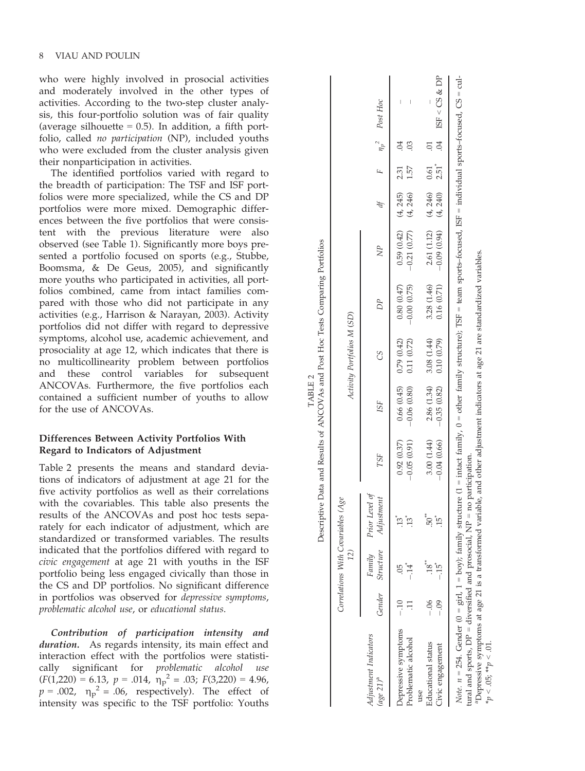who were highly involved in prosocial activities and moderately involved in the other types of activities. According to the two-step cluster analysis, this four-portfolio solution was of fair quality (average silhouette  $= 0.5$ ). In addition, a fifth portfolio, called no participation (NP), included youths who were excluded from the cluster analysis given their nonparticipation in activities.

The identified portfolios varied with regard to the breadth of participation: The TSF and ISF portfolios were more specialized, while the CS and DP portfolios were more mixed. Demographic differences between the five portfolios that were consistent with the previous literature were also observed (see Table 1). Significantly more boys presented a portfolio focused on sports (e.g., Stubbe, Boomsma, & De Geus, 2005), and significantly more youths who participated in activities, all portfolios combined, came from intact families compared with those who did not participate in any activities (e.g., Harrison & Narayan, 2003). Activity portfolios did not differ with regard to depressive symptoms, alcohol use, academic achievement, and prosociality at age 12, which indicates that there is no multicollinearity problem between portfolios and these control variables for subsequent ANCOVAs. Furthermore, the five portfolios each contained a sufficient number of youths to allow for the use of ANCOVAs.

# Differences Between Activity Portfolios With Regard to Indicators of Adjustment

Table 2 presents the means and standard deviations of indicators of adjustment at age 21 for the five activity portfolios as well as their correlations with the covariables. This table also presents the results of the ANCOVAs and post hoc tests separately for each indicator of adjustment, which are standardized or transformed variables. The results indicated that the portfolios differed with regard to civic engagement at age 21 with youths in the ISF portfolio being less engaged civically than those in the CS and DP portfolios. No significant difference in portfolios was observed for depressive symptoms , problematic alcohol use, or educational status .

Contribution of participation intensity and duration. As regards intensity, its main effect and interaction effect with the portfolios were statistically significant for problematic alcohol use  $(F(1,220) = 6.13, p = .014, \eta_p^2 = .03; F(3,220) = 4.96,$ <br>  $p = .002, \eta_p^2 = .06,$  respectively). The effect of intensity was specific to the TSF portfolio: Youths

|                                                                                                                                                                                                                                                                                                                                                                                                                                                    |       | 12)              | Correlations With Covariables (Age  |               |               | Activity Portfolios M (SD) |               |                         |          |         |                          |                                |
|----------------------------------------------------------------------------------------------------------------------------------------------------------------------------------------------------------------------------------------------------------------------------------------------------------------------------------------------------------------------------------------------------------------------------------------------------|-------|------------------|-------------------------------------|---------------|---------------|----------------------------|---------------|-------------------------|----------|---------|--------------------------|--------------------------------|
| Adjustment Indicators<br>$(aq e 21)^a$                                                                                                                                                                                                                                                                                                                                                                                                             |       | Gender Structure | Family Prior Level of<br>Adjustment | TSF           | <b>ISF</b>    | CS                         | DP            | NP                      |          |         |                          | $F$ $n_p^2$ Post Hoc           |
| Depressive symptoms                                                                                                                                                                                                                                                                                                                                                                                                                                | $-10$ |                  | $\ddot{13}$                         | 0.92(0.37)    | 0.66(0.45)    | 0.79(0.42)                 | 0.80(0.47)    | $0.59(0.42)$ $(4, 245)$ |          | 2.31    | $\widetilde{\mathrm{C}}$ |                                |
| Problematic alcohol                                                                                                                                                                                                                                                                                                                                                                                                                                |       |                  | $13^{\circ}$                        | $-0.05(0.91)$ | $-0.06(0.80)$ | 0.11(0.72)                 | $-0.00(0.75)$ | $-0.21(0.77)$           | (4, 246) | 1.57    |                          | $\begin{array}{c} \end{array}$ |
| Educational status<br>use                                                                                                                                                                                                                                                                                                                                                                                                                          | $-06$ | $\cdot$ 18"      | $50^{**}$                           | 3.00 (1.44)   | 2.86 (1.34)   | 3.08 (1.44)                | 3.28 (1.46)   | 2.61 (1.12)             | (4, 246) | 0.61    |                          |                                |
| Civic engagement                                                                                                                                                                                                                                                                                                                                                                                                                                   |       |                  | ĴБ.                                 | $-0.04(0.66)$ | $-0.35(0.82)$ | 0.10(0.79)                 | 0.16(0.71)    | $-0.09(0.94)$           | (4, 240) | $2.51*$ | $\overline{C}$           | BF < CS & DP                   |
| Note: $n = 254$ . Gender $(0 = \text{girl}, 1 = \text{bov})$ ; family structure $(1 = \text{intact family}, 0 = \text{other family structure})$ ; TSF = team sports-focused, ISF = individual sports-focused, CS = cul-<br><sup>a</sup> Depressive symptoms at age 21 is a transformed variable, and other adjustment indicators at age 21 are standardized variables.<br>tural and sports, DP = diversified and prosocial, NP = no participation. |       |                  |                                     |               |               |                            |               |                         |          |         |                          |                                |

TABLE 2

TABLE<sub>2</sub>

aDepressive symptoms at age 21 is a transformed variable, and other adjustment indicators at age 21 are standardized variables.  $*_{p} < .05; **p < .01$ .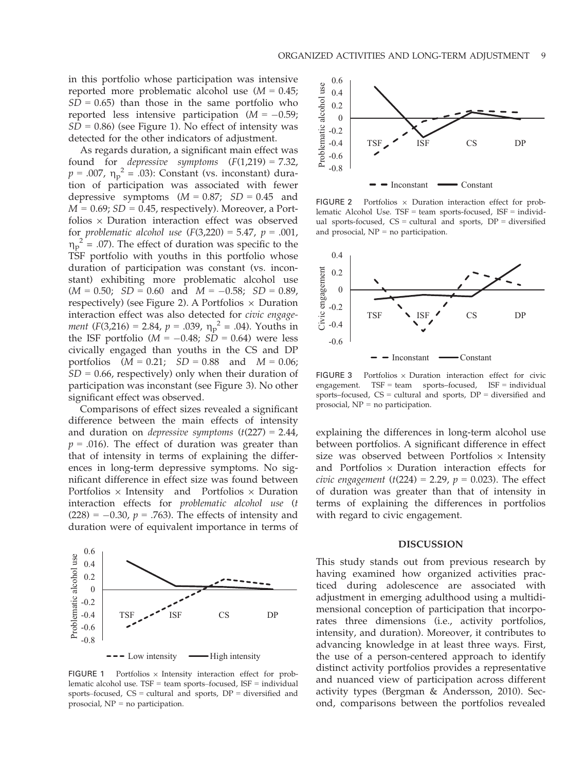in this portfolio whose participation was intensive reported more problematic alcohol use  $(M = 0.45)$ ;  $SD = 0.65$ ) than those in the same portfolio who reported less intensive participation  $(M = -0.59)$ ;  $SD = 0.86$ ) (see Figure 1). No effect of intensity was detected for the other indicators of adjustment.

As regards duration, a significant main effect was found for *depressive symptoms*  $(F(1,219) = 7.32)$ ,  $p = .007$ ,  $\eta_p^2 = .03$ ): Constant (vs. inconstant) dura-<br>tion of participation was associated with fower tion of participation was associated with fewer depressive symptoms  $(M = 0.87; SD = 0.45$  and  $M = 0.69$ ;  $SD = 0.45$ , respectively). Moreover, a Portfolios  $\times$  Duration interaction effect was observed for problematic alcohol use  $(F(3,220) = 5.47, p = .001,$  $\eta_{\rm p}$  = .07). The effect of duration was specific to the TSF portfolio with youths in this portfolio whose  $\eta_p^2$  = .07). The effect of duration was specific to the duration of participation was constant (vs. inconstant) exhibiting more problematic alcohol use  $(M = 0.50; SD = 0.60 \text{ and } M = -0.58; SD = 0.89,$ respectively) (see Figure 2). A Portfolios  $\times$  Duration interaction effect was also detected for civic engagement  $(F(3,216) = 2.84, p = .039, \eta_p^2 = .04)$ . Youths in the ISE portfolio  $(M = -0.48, \Omega_p^2 = 0.64)$  were less the ISF portfolio ( $M = -0.48$ ;  $\dot{SD} = 0.64$ ) were less civically engaged than youths in the CS and DP portfolios  $(M = 0.21; SD = 0.88$  and  $M = 0.06;$  $SD = 0.66$ , respectively) only when their duration of participation was inconstant (see Figure 3). No other significant effect was observed.

Comparisons of effect sizes revealed a significant difference between the main effects of intensity and duration on *depressive symptoms*  $(t(227) = 2.44)$ ,  $p = .016$ ). The effect of duration was greater than that of intensity in terms of explaining the differences in long-term depressive symptoms. No significant difference in effect size was found between Portfolios  $\times$  Intensity and Portfolios  $\times$  Duration interaction effects for problematic alcohol use (t  $(228) = -0.30, p = .763$ . The effects of intensity and duration were of equivalent importance in terms of



 $\overline{\phantom{a}}$ 

FIGURE 1 Portfolios  $\times$  Intensity interaction effect for problematic alcohol use. TSF = team sports–focused, ISF = individual sports–focused,  $CS =$  cultural and sports,  $DP =$  diversified and prosocial, NP = no participation.



FIGURE 2 Portfolios  $\times$  Duration interaction effect for problematic Alcohol Use. TSF = team sports-focused, ISF = individual sports-focused,  $CS =$  cultural and sports,  $DP =$  diversified and prosocial,  $NP = no$  participation.



FIGURE 3 Portfolios  $\times$  Duration interaction effect for civic engagement. TSF = team sports–focused, ISF = individual sports–focused,  $CS =$  cultural and sports,  $DP =$  diversified and prosocial, NP = no participation.

explaining the differences in long-term alcohol use between portfolios. A significant difference in effect size was observed between Portfolios  $\times$  Intensity and Portfolios  $\times$  Duration interaction effects for civic engagement (t(224) = 2.29,  $p = 0.023$ ). The effect of duration was greater than that of intensity in terms of explaining the differences in portfolios with regard to civic engagement.

#### DISCUSSION

This study stands out from previous research by having examined how organized activities practiced during adolescence are associated with adjustment in emerging adulthood using a multidimensional conception of participation that incorporates three dimensions (i.e., activity portfolios, intensity, and duration). Moreover, it contributes to advancing knowledge in at least three ways. First, the use of a person-centered approach to identify distinct activity portfolios provides a representative and nuanced view of participation across different activity types (Bergman & Andersson, 2010). Second, comparisons between the portfolios revealed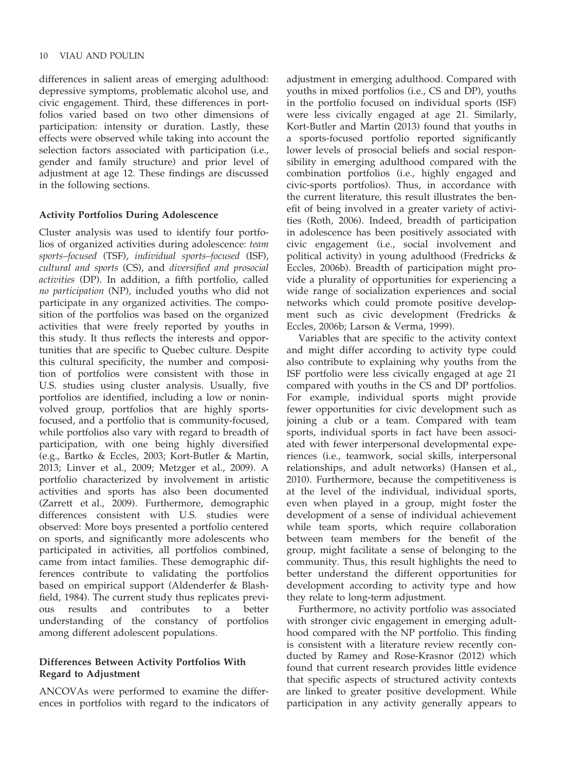differences in salient areas of emerging adulthood: depressive symptoms, problematic alcohol use, and civic engagement. Third, these differences in portfolios varied based on two other dimensions of participation: intensity or duration. Lastly, these effects were observed while taking into account the selection factors associated with participation (i.e., gender and family structure) and prior level of adjustment at age 12. These findings are discussed in the following sections.

## Activity Portfolios During Adolescence

Cluster analysis was used to identify four portfolios of organized activities during adolescence: team sports–focused (TSF), individual sports–focused (ISF), cultural and sports (CS), and diversified and prosocial activities (DP). In addition, a fifth portfolio, called no participation (NP), included youths who did not participate in any organized activities. The composition of the portfolios was based on the organized activities that were freely reported by youths in this study. It thus reflects the interests and opportunities that are specific to Quebec culture. Despite this cultural specificity, the number and composition of portfolios were consistent with those in U.S. studies using cluster analysis. Usually, five portfolios are identified, including a low or noninvolved group, portfolios that are highly sportsfocused, and a portfolio that is community-focused, while portfolios also vary with regard to breadth of participation, with one being highly diversified (e.g., Bartko & Eccles, 2003; Kort-Butler & Martin, 2013; Linver et al., 2009; Metzger et al., 2009). A portfolio characterized by involvement in artistic activities and sports has also been documented (Zarrett et al., 2009). Furthermore, demographic differences consistent with U.S. studies were observed: More boys presented a portfolio centered on sports, and significantly more adolescents who participated in activities, all portfolios combined, came from intact families. These demographic differences contribute to validating the portfolios based on empirical support (Aldenderfer & Blashfield, 1984). The current study thus replicates previous results and contributes to a better understanding of the constancy of portfolios among different adolescent populations.

## Differences Between Activity Portfolios With Regard to Adjustment

ANCOVAs were performed to examine the differences in portfolios with regard to the indicators of adjustment in emerging adulthood. Compared with youths in mixed portfolios (i.e., CS and DP), youths in the portfolio focused on individual sports (ISF) were less civically engaged at age 21. Similarly, Kort-Butler and Martin (2013) found that youths in a sports-focused portfolio reported significantly lower levels of prosocial beliefs and social responsibility in emerging adulthood compared with the combination portfolios (i.e., highly engaged and civic-sports portfolios). Thus, in accordance with the current literature, this result illustrates the benefit of being involved in a greater variety of activities (Roth, 2006). Indeed, breadth of participation in adolescence has been positively associated with civic engagement (i.e., social involvement and political activity) in young adulthood (Fredricks & Eccles, 2006b). Breadth of participation might provide a plurality of opportunities for experiencing a wide range of socialization experiences and social networks which could promote positive development such as civic development (Fredricks & Eccles, 2006b; Larson & Verma, 1999).

Variables that are specific to the activity context and might differ according to activity type could also contribute to explaining why youths from the ISF portfolio were less civically engaged at age 21 compared with youths in the CS and DP portfolios. For example, individual sports might provide fewer opportunities for civic development such as joining a club or a team. Compared with team sports, individual sports in fact have been associated with fewer interpersonal developmental experiences (i.e., teamwork, social skills, interpersonal relationships, and adult networks) (Hansen et al., 2010). Furthermore, because the competitiveness is at the level of the individual, individual sports, even when played in a group, might foster the development of a sense of individual achievement while team sports, which require collaboration between team members for the benefit of the group, might facilitate a sense of belonging to the community. Thus, this result highlights the need to better understand the different opportunities for development according to activity type and how they relate to long-term adjustment.

Furthermore, no activity portfolio was associated with stronger civic engagement in emerging adulthood compared with the NP portfolio. This finding is consistent with a literature review recently conducted by Ramey and Rose-Krasnor (2012) which found that current research provides little evidence that specific aspects of structured activity contexts are linked to greater positive development. While participation in any activity generally appears to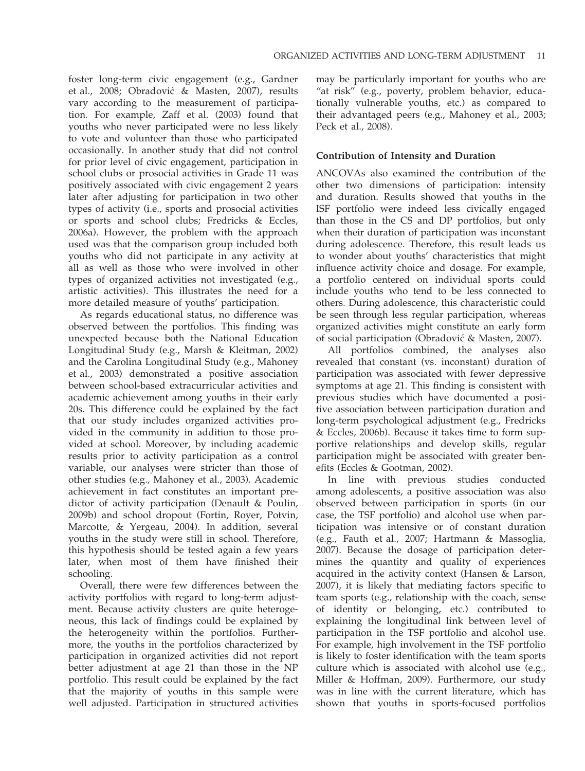foster long-term civic engagement (e.g., Gardner et al., 2008; Obradovic & Masten, 2007), results vary according to the measurement of participation. For example, Zaff et al. (2003) found that youths who never participated were no less likely to vote and volunteer than those who participated occasionally. In another study that did not control for prior level of civic engagement, participation in school clubs or prosocial activities in Grade 11 was positively associated with civic engagement 2 years later after adjusting for participation in two other types of activity (i.e., sports and prosocial activities or sports and school clubs; Fredricks & Eccles, 2006a). However, the problem with the approach used was that the comparison group included both youths who did not participate in any activity at all as well as those who were involved in other types of organized activities not investigated (e.g., artistic activities). This illustrates the need for a more detailed measure of youths' participation.

As regards educational status, no difference was observed between the portfolios. This finding was unexpected because both the National Education Longitudinal Study (e.g., Marsh & Kleitman, 2002) and the Carolina Longitudinal Study (e.g., Mahoney et al., 2003) demonstrated a positive association between school-based extracurricular activities and academic achievement among youths in their early 20s. This difference could be explained by the fact that our study includes organized activities provided in the community in addition to those provided at school. Moreover, by including academic results prior to activity participation as a control variable, our analyses were stricter than those of other studies (e.g., Mahoney et al., 2003). Academic achievement in fact constitutes an important predictor of activity participation (Denault & Poulin, 2009b) and school dropout (Fortin, Royer, Potvin, Marcotte, & Yergeau, 2004). In addition, several youths in the study were still in school. Therefore, this hypothesis should be tested again a few years later, when most of them have finished their schooling.

Overall, there were few differences between the activity portfolios with regard to long-term adjustment. Because activity clusters are quite heterogeneous, this lack of findings could be explained by the heterogeneity within the portfolios. Furthermore, the youths in the portfolios characterized by participation in organized activities did not report better adjustment at age 21 than those in the NP portfolio. This result could be explained by the fact that the majority of youths in this sample were well adjusted. Participation in structured activities

may be particularly important for youths who are "at risk" (e.g., poverty, problem behavior, educationally vulnerable youths, etc.) as compared to their advantaged peers (e.g., Mahoney et al., 2003; Peck et al., 2008).

## Contribution of Intensity and Duration

ANCOVAs also examined the contribution of the other two dimensions of participation: intensity and duration. Results showed that youths in the ISF portfolio were indeed less civically engaged than those in the CS and DP portfolios, but only when their duration of participation was inconstant during adolescence. Therefore, this result leads us to wonder about youths' characteristics that might influence activity choice and dosage. For example, a portfolio centered on individual sports could include youths who tend to be less connected to others. During adolescence, this characteristic could be seen through less regular participation, whereas organized activities might constitute an early form of social participation (Obradovic & Masten, 2007).

All portfolios combined, the analyses also revealed that constant (vs. inconstant) duration of participation was associated with fewer depressive symptoms at age 21. This finding is consistent with previous studies which have documented a positive association between participation duration and long-term psychological adjustment (e.g., Fredricks & Eccles, 2006b). Because it takes time to form supportive relationships and develop skills, regular participation might be associated with greater benefits (Eccles & Gootman, 2002).

In line with previous studies conducted among adolescents, a positive association was also observed between participation in sports (in our case, the TSF portfolio) and alcohol use when participation was intensive or of constant duration (e.g., Fauth et al., 2007; Hartmann & Massoglia, 2007). Because the dosage of participation determines the quantity and quality of experiences acquired in the activity context (Hansen & Larson, 2007), it is likely that mediating factors specific to team sports (e.g., relationship with the coach, sense of identity or belonging, etc.) contributed to explaining the longitudinal link between level of participation in the TSF portfolio and alcohol use. For example, high involvement in the TSF portfolio is likely to foster identification with the team sports culture which is associated with alcohol use (e.g., Miller & Hoffman, 2009). Furthermore, our study was in line with the current literature, which has shown that youths in sports-focused portfolios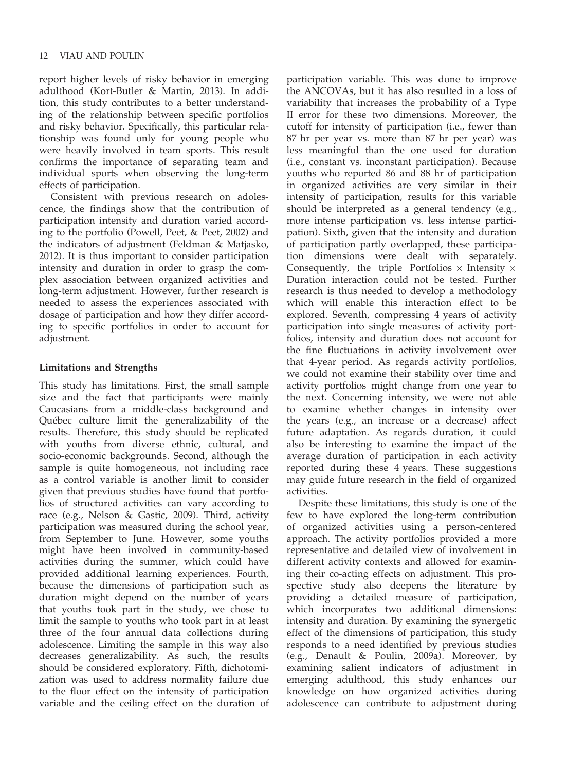report higher levels of risky behavior in emerging adulthood (Kort-Butler & Martin, 2013). In addition, this study contributes to a better understanding of the relationship between specific portfolios and risky behavior. Specifically, this particular relationship was found only for young people who were heavily involved in team sports. This result confirms the importance of separating team and individual sports when observing the long-term effects of participation.

Consistent with previous research on adolescence, the findings show that the contribution of participation intensity and duration varied according to the portfolio (Powell, Peet, & Peet, 2002) and the indicators of adjustment (Feldman & Matjasko, 2012). It is thus important to consider participation intensity and duration in order to grasp the complex association between organized activities and long-term adjustment. However, further research is needed to assess the experiences associated with dosage of participation and how they differ according to specific portfolios in order to account for adjustment.

## Limitations and Strengths

This study has limitations. First, the small sample size and the fact that participants were mainly Caucasians from a middle-class background and Québec culture limit the generalizability of the results. Therefore, this study should be replicated with youths from diverse ethnic, cultural, and socio-economic backgrounds. Second, although the sample is quite homogeneous, not including race as a control variable is another limit to consider given that previous studies have found that portfolios of structured activities can vary according to race (e.g., Nelson & Gastic, 2009). Third, activity participation was measured during the school year, from September to June. However, some youths might have been involved in community-based activities during the summer, which could have provided additional learning experiences. Fourth, because the dimensions of participation such as duration might depend on the number of years that youths took part in the study, we chose to limit the sample to youths who took part in at least three of the four annual data collections during adolescence. Limiting the sample in this way also decreases generalizability. As such, the results should be considered exploratory. Fifth, dichotomization was used to address normality failure due to the floor effect on the intensity of participation variable and the ceiling effect on the duration of

participation variable. This was done to improve the ANCOVAs, but it has also resulted in a loss of variability that increases the probability of a Type II error for these two dimensions. Moreover, the cutoff for intensity of participation (i.e., fewer than 87 hr per year vs. more than 87 hr per year) was less meaningful than the one used for duration (i.e., constant vs. inconstant participation). Because youths who reported 86 and 88 hr of participation in organized activities are very similar in their intensity of participation, results for this variable should be interpreted as a general tendency (e.g., more intense participation vs. less intense participation). Sixth, given that the intensity and duration of participation partly overlapped, these participation dimensions were dealt with separately. Consequently, the triple Portfolios  $\times$  Intensity  $\times$ Duration interaction could not be tested. Further research is thus needed to develop a methodology which will enable this interaction effect to be explored. Seventh, compressing 4 years of activity participation into single measures of activity portfolios, intensity and duration does not account for the fine fluctuations in activity involvement over that 4-year period. As regards activity portfolios, we could not examine their stability over time and activity portfolios might change from one year to the next. Concerning intensity, we were not able to examine whether changes in intensity over the years (e.g., an increase or a decrease) affect future adaptation. As regards duration, it could also be interesting to examine the impact of the average duration of participation in each activity reported during these 4 years. These suggestions may guide future research in the field of organized activities.

Despite these limitations, this study is one of the few to have explored the long-term contribution of organized activities using a person-centered approach. The activity portfolios provided a more representative and detailed view of involvement in different activity contexts and allowed for examining their co-acting effects on adjustment. This prospective study also deepens the literature by providing a detailed measure of participation, which incorporates two additional dimensions: intensity and duration. By examining the synergetic effect of the dimensions of participation, this study responds to a need identified by previous studies (e.g., Denault & Poulin, 2009a). Moreover, by examining salient indicators of adjustment in emerging adulthood, this study enhances our knowledge on how organized activities during adolescence can contribute to adjustment during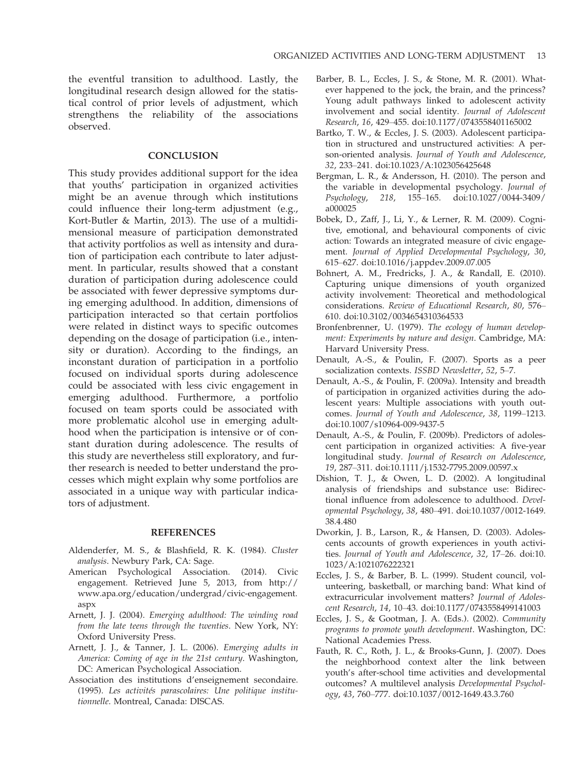the eventful transition to adulthood. Lastly, the longitudinal research design allowed for the statistical control of prior levels of adjustment, which strengthens the reliability of the associations observed.

## **CONCLUSION**

This study provides additional support for the idea that youths' participation in organized activities might be an avenue through which institutions could influence their long-term adjustment (e.g., Kort-Butler & Martin, 2013). The use of a multidimensional measure of participation demonstrated that activity portfolios as well as intensity and duration of participation each contribute to later adjustment. In particular, results showed that a constant duration of participation during adolescence could be associated with fewer depressive symptoms during emerging adulthood. In addition, dimensions of participation interacted so that certain portfolios were related in distinct ways to specific outcomes depending on the dosage of participation (i.e., intensity or duration). According to the findings, an inconstant duration of participation in a portfolio focused on individual sports during adolescence could be associated with less civic engagement in emerging adulthood. Furthermore, a portfolio focused on team sports could be associated with more problematic alcohol use in emerging adulthood when the participation is intensive or of constant duration during adolescence. The results of this study are nevertheless still exploratory, and further research is needed to better understand the processes which might explain why some portfolios are associated in a unique way with particular indicators of adjustment.

## REFERENCES

- Aldenderfer, M. S., & Blashfield, R. K. (1984). Cluster analysis. Newbury Park, CA: Sage.
- American Psychological Association. (2014). Civic engagement. Retrieved June 5, 2013, from http:// www.apa.org/education/undergrad/civic-engagement. aspx
- Arnett, J. J. (2004). Emerging adulthood: The winding road from the late teens through the twenties. New York, NY: Oxford University Press.
- Arnett, J. J., & Tanner, J. L. (2006). Emerging adults in America: Coming of age in the 21st century. Washington, DC: American Psychological Association.
- Association des institutions d'enseignement secondaire. (1995). Les activités parascolaires: Une politique institutionnelle. Montreal, Canada: DISCAS.
- Barber, B. L., Eccles, J. S., & Stone, M. R. (2001). Whatever happened to the jock, the brain, and the princess? Young adult pathways linked to adolescent activity involvement and social identity. Journal of Adolescent Research, 16, 429–455. doi:10.1177/0743558401165002
- Bartko, T. W., & Eccles, J. S. (2003). Adolescent participation in structured and unstructured activities: A person-oriented analysis. Journal of Youth and Adolescence, 32, 233–241. doi:10.1023/A:1023056425648
- Bergman, L. R., & Andersson, H. (2010). The person and the variable in developmental psychology. Journal of Psychology, 218, 155–165. doi:10.1027/0044-3409/ a000025
- Bobek, D., Zaff, J., Li, Y., & Lerner, R. M. (2009). Cognitive, emotional, and behavioural components of civic action: Towards an integrated measure of civic engagement. Journal of Applied Developmental Psychology, 30, 615–627. doi:10.1016/j.appdev.2009.07.005
- Bohnert, A. M., Fredricks, J. A., & Randall, E. (2010). Capturing unique dimensions of youth organized activity involvement: Theoretical and methodological considerations. Review of Educational Research, 80, 576– 610. doi:10.3102/0034654310364533
- Bronfenbrenner, U. (1979). The ecology of human development: Experiments by nature and design. Cambridge, MA: Harvard University Press.
- Denault, A.-S., & Poulin, F. (2007). Sports as a peer socialization contexts. ISSBD Newsletter, 52, 5–7.
- Denault, A.-S., & Poulin, F. (2009a). Intensity and breadth of participation in organized activities during the adolescent years: Multiple associations with youth outcomes. Journal of Youth and Adolescence, 38, 1199–1213. doi:10.1007/s10964-009-9437-5
- Denault, A.-S., & Poulin, F. (2009b). Predictors of adolescent participation in organized activities: A five-year longitudinal study. Journal of Research on Adolescence, 19, 287–311. doi:10.1111/j.1532-7795.2009.00597.x
- Dishion, T. J., & Owen, L. D. (2002). A longitudinal analysis of friendships and substance use: Bidirectional influence from adolescence to adulthood. Developmental Psychology, 38, 480–491. doi:10.1037/0012-1649. 38.4.480
- Dworkin, J. B., Larson, R., & Hansen, D. (2003). Adolescents accounts of growth experiences in youth activities. Journal of Youth and Adolescence, 32, 17–26. doi:10. 1023/A:1021076222321
- Eccles, J. S., & Barber, B. L. (1999). Student council, volunteering, basketball, or marching band: What kind of extracurricular involvement matters? Journal of Adolescent Research, 14, 10–43. doi:10.1177/0743558499141003
- Eccles, J. S., & Gootman, J. A. (Eds.). (2002). Community programs to promote youth development. Washington, DC: National Academies Press.
- Fauth, R. C., Roth, J. L., & Brooks-Gunn, J. (2007). Does the neighborhood context alter the link between youth's after-school time activities and developmental outcomes? A multilevel analysis Developmental Psychology, 43, 760–777. doi:10.1037/0012-1649.43.3.760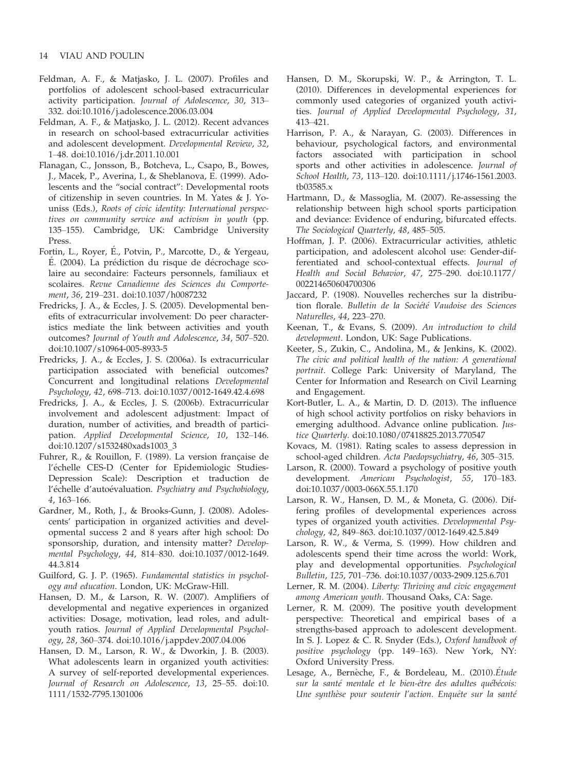- Feldman, A. F., & Matjasko, J. L. (2007). Profiles and portfolios of adolescent school-based extracurricular activity participation. Journal of Adolescence, 30, 313– 332. doi:10.1016/j.adolescence.2006.03.004
- Feldman, A. F., & Matjasko, J. L. (2012). Recent advances in research on school-based extracurricular activities and adolescent development. Developmental Review, 32, 1–48. doi:10.1016/j.dr.2011.10.001
- Flanagan, C., Jonsson, B., Botcheva, L., Csapo, B., Bowes, J., Macek, P., Averina, I., & Sheblanova, E. (1999). Adolescents and the "social contract": Developmental roots of citizenship in seven countries. In M. Yates & J. Youniss (Eds.), Roots of civic identity: International perspectives on community service and activism in youth (pp. 135–155). Cambridge, UK: Cambridge University Press.
- Fortin, L., Royer, E., Potvin, P., Marcotte, D., & Yergeau,  $E.$  (2004). La prédiction du risque de décrochage scolaire au secondaire: Facteurs personnels, familiaux et scolaires. Revue Canadienne des Sciences du Comportement, 36, 219–231. doi:10.1037/h0087232
- Fredricks, J. A., & Eccles, J. S. (2005). Developmental benefits of extracurricular involvement: Do peer characteristics mediate the link between activities and youth outcomes? Journal of Youth and Adolescence, 34, 507–520. doi:10.1007/s10964-005-8933-5
- Fredricks, J. A., & Eccles, J. S. (2006a). Is extracurricular participation associated with beneficial outcomes? Concurrent and longitudinal relations Developmental Psychology, 42, 698–713. doi:10.1037/0012-1649.42.4.698
- Fredricks, J. A., & Eccles, J. S. (2006b). Extracurricular involvement and adolescent adjustment: Impact of duration, number of activities, and breadth of participation. Applied Developmental Science, 10, 132–146. doi:10.1207/s1532480xads1003\_3
- Fuhrer, R., & Rouillon, F. (1989). La version francaise de l'échelle CES-D (Center for Epidemiologic Studies-Depression Scale): Description et traduction de l'échelle d'autoévaluation. Psychiatry and Psychobiology, 4, 163–166.
- Gardner, M., Roth, J., & Brooks-Gunn, J. (2008). Adolescents' participation in organized activities and developmental success 2 and 8 years after high school: Do sponsorship, duration, and intensity matter? Developmental Psychology, 44, 814–830. doi:10.1037/0012-1649. 44.3.814
- Guilford, G. J. P. (1965). Fundamental statistics in psychology and education. London, UK: McGraw-Hill.
- Hansen, D. M., & Larson, R. W. (2007). Amplifiers of developmental and negative experiences in organized activities: Dosage, motivation, lead roles, and adultyouth ratios. Journal of Applied Developmental Psychology, 28, 360–374. doi:10.1016/j.appdev.2007.04.006
- Hansen, D. M., Larson, R. W., & Dworkin, J. B. (2003). What adolescents learn in organized youth activities: A survey of self-reported developmental experiences. Journal of Research on Adolescence, 13, 25–55. doi:10. 1111/1532-7795.1301006
- Hansen, D. M., Skorupski, W. P., & Arrington, T. L. (2010). Differences in developmental experiences for commonly used categories of organized youth activities. Journal of Applied Developmental Psychology, 31, 413–421.
- Harrison, P. A., & Narayan, G. (2003). Differences in behaviour, psychological factors, and environmental factors associated with participation in school sports and other activities in adolescence. Journal of School Health, 73, 113–120. doi:10.1111/j.1746-1561.2003. tb03585.x
- Hartmann, D., & Massoglia, M. (2007). Re-assessing the relationship between high school sports participation and deviance: Evidence of enduring, bifurcated effects. The Sociological Quarterly, 48, 485–505.
- Hoffman, J. P. (2006). Extracurricular activities, athletic participation, and adolescent alcohol use: Gender-differentiated and school-contextual effects. Journal of Health and Social Behavior, 47, 275–290. doi:10.1177/ 002214650604700306
- Jaccard, P. (1908). Nouvelles recherches sur la distribution florale. Bulletin de la Société Vaudoise des Sciences Naturelles, 44, 223–270.
- Keenan, T., & Evans, S. (2009). An introduction to child development. London, UK: Sage Publications.
- Keeter, S., Zukin, C., Andolina, M., & Jenkins, K. (2002). The civic and political health of the nation: A generational portrait. College Park: University of Maryland, The Center for Information and Research on Civil Learning and Engagement.
- Kort-Butler, L. A., & Martin, D. D. (2013). The influence of high school activity portfolios on risky behaviors in emerging adulthood. Advance online publication. Justice Quarterly. doi:10.1080/07418825.2013.770547
- Kovacs, M. (1981). Rating scales to assess depression in school-aged children. Acta Paedopsychiatry, 46, 305–315.
- Larson, R. (2000). Toward a psychology of positive youth development. American Psychologist, 55, 170–183. doi:10.1037/0003-066X.55.1.170
- Larson, R. W., Hansen, D. M., & Moneta, G. (2006). Differing profiles of developmental experiences across types of organized youth activities. Developmental Psychology, 42, 849–863. doi:10.1037/0012-1649.42.5.849
- Larson, R. W., & Verma, S. (1999). How children and adolescents spend their time across the world: Work, play and developmental opportunities. Psychological Bulletin, 125, 701–736. doi:10.1037/0033-2909.125.6.701
- Lerner, R. M. (2004). Liberty: Thriving and civic engagement among American youth. Thousand Oaks, CA: Sage.
- Lerner, R. M. (2009). The positive youth development perspective: Theoretical and empirical bases of a strengths-based approach to adolescent development. In S. J. Lopez & C. R. Snyder (Eds.), Oxford handbook of positive psychology (pp. 149–163). New York, NY: Oxford University Press.
- Lesage, A., Bernèche, F., & Bordeleau, M.. (2010).Étude sur la santé mentale et le bien-être des adultes québécois: Une synthèse pour soutenir l'action. Enquête sur la santé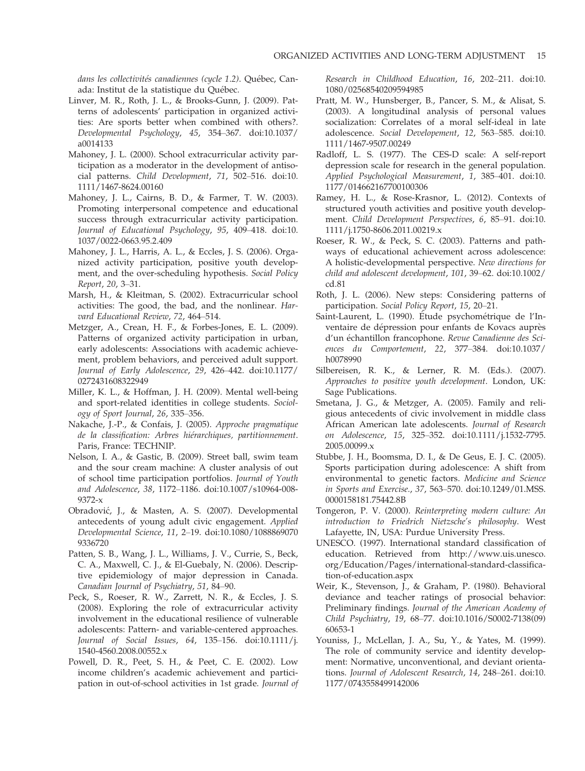dans les collectivités canadiennes (cycle 1.2). Québec, Canada: Institut de la statistique du Québec.

- Linver, M. R., Roth, J. L., & Brooks-Gunn, J. (2009). Patterns of adolescents' participation in organized activities: Are sports better when combined with others?. Developmental Psychology, 45, 354–367. doi:10.1037/ a0014133
- Mahoney, J. L. (2000). School extracurricular activity participation as a moderator in the development of antisocial patterns. Child Development, 71, 502–516. doi:10. 1111/1467-8624.00160
- Mahoney, J. L., Cairns, B. D., & Farmer, T. W. (2003). Promoting interpersonal competence and educational success through extracurricular activity participation. Journal of Educational Psychology, 95, 409–418. doi:10. 1037/0022-0663.95.2.409
- Mahoney, J. L., Harris, A. L., & Eccles, J. S. (2006). Organized activity participation, positive youth development, and the over-scheduling hypothesis. Social Policy Report, 20, 3–31.
- Marsh, H., & Kleitman, S. (2002). Extracurricular school activities: The good, the bad, and the nonlinear. Harvard Educational Review, 72, 464–514.
- Metzger, A., Crean, H. F., & Forbes-Jones, E. L. (2009). Patterns of organized activity participation in urban, early adolescents: Associations with academic achievement, problem behaviors, and perceived adult support. Journal of Early Adolescence, 29, 426–442. doi:10.1177/ 0272431608322949
- Miller, K. L., & Hoffman, J. H. (2009). Mental well-being and sport-related identities in college students. Sociology of Sport Journal, 26, 335–356.
- Nakache, J.-P., & Confais, J. (2005). Approche pragmatique de la classification: Arbres hiérarchiques, partitionnement. Paris, France: TECHNIP.
- Nelson, I. A., & Gastic, B. (2009). Street ball, swim team and the sour cream machine: A cluster analysis of out of school time participation portfolios. Journal of Youth and Adolescence, 38, 1172–1186. doi:10.1007/s10964-008- 9372-x
- Obradovic, J., & Masten, A. S. (2007). Developmental antecedents of young adult civic engagement. Applied Developmental Science, 11, 2–19. doi:10.1080/1088869070 9336720
- Patten, S. B., Wang, J. L., Williams, J. V., Currie, S., Beck, C. A., Maxwell, C. J., & El-Guebaly, N. (2006). Descriptive epidemiology of major depression in Canada. Canadian Journal of Psychiatry, 51, 84–90.
- Peck, S., Roeser, R. W., Zarrett, N. R., & Eccles, J. S. (2008). Exploring the role of extracurricular activity involvement in the educational resilience of vulnerable adolescents: Pattern- and variable-centered approaches. Journal of Social Issues, 64, 135–156. doi:10.1111/j. 1540-4560.2008.00552.x
- Powell, D. R., Peet, S. H., & Peet, C. E. (2002). Low income children's academic achievement and participation in out-of-school activities in 1st grade. Journal of

Research in Childhood Education, 16, 202–211. doi:10. 1080/02568540209594985

- Pratt, M. W., Hunsberger, B., Pancer, S. M., & Alisat, S. (2003). A longitudinal analysis of personal values socialization: Correlates of a moral self-ideal in late adolescence. Social Developement, 12, 563–585. doi:10. 1111/1467-9507.00249
- Radloff, L. S. (1977). The CES-D scale: A self-report depression scale for research in the general population. Applied Psychological Measurement, 1, 385–401. doi:10. 1177/014662167700100306
- Ramey, H. L., & Rose-Krasnor, L. (2012). Contexts of structured youth activities and positive youth development. Child Development Perspectives, 6, 85–91. doi:10. 1111/j.1750-8606.2011.00219.x
- Roeser, R. W., & Peck, S. C. (2003). Patterns and pathways of educational achievement across adolescence: A holistic-developmental perspective. New directions for child and adolescent development, 101, 39–62. doi:10.1002/ cd.81
- Roth, J. L. (2006). New steps: Considering patterns of participation. Social Policy Report, 15, 20–21.
- Saint-Laurent, L. (1990). Étude psychométrique de l'Inventaire de dépression pour enfants de Kovacs auprès d'un échantillon francophone. Revue Canadienne des Sciences du Comportement, 22, 377–384. doi:10.1037/ h0078990
- Silbereisen, R. K., & Lerner, R. M. (Eds.). (2007). Approaches to positive youth development. London, UK: Sage Publications.
- Smetana, J. G., & Metzger, A. (2005). Family and religious antecedents of civic involvement in middle class African American late adolescents. Journal of Research on Adolescence, 15, 325–352. doi:10.1111/j.1532-7795. 2005.00099.x
- Stubbe, J. H., Boomsma, D. I., & De Geus, E. J. C. (2005). Sports participation during adolescence: A shift from environmental to genetic factors. Medicine and Science in Sports and Exercise., 37, 563–570. doi:10.1249/01.MSS. 0000158181.75442.8B
- Tongeron, P. V. (2000). Reinterpreting modern culture: An introduction to Friedrich Nietzsche's philosophy. West Lafayette, IN, USA: Purdue University Press.
- UNESCO. (1997). International standard classification of education. Retrieved from http://www.uis.unesco. org/Education/Pages/international-standard-classification-of-education.aspx
- Weir, K., Stevenson, J., & Graham, P. (1980). Behavioral deviance and teacher ratings of prosocial behavior: Preliminary findings. Journal of the American Academy of Child Psychiatry, 19, 68–77. doi:10.1016/S0002-7138(09) 60653-1
- Youniss, J., McLellan, J. A., Su, Y., & Yates, M. (1999). The role of community service and identity development: Normative, unconventional, and deviant orientations. Journal of Adolescent Research, 14, 248–261. doi:10. 1177/0743558499142006